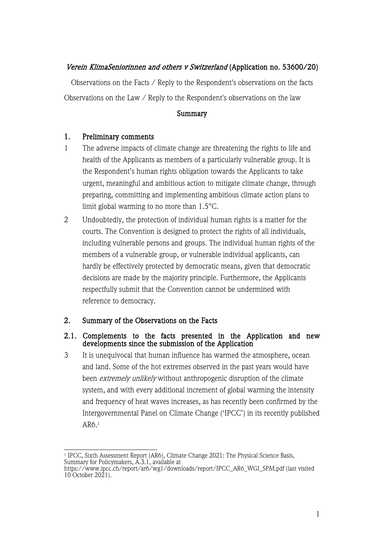## Verein KlimaSeniorinnen and others v Switzerland (Application no. 53600/20)

Observations on the Facts / Reply to the Respondent's observations on the facts Observations on the Law / Reply to the Respondent's observations on the law

#### **Summary**

#### 1. Preliminary comments

- 1 The adverse impacts of climate change are threatening the rights to life and health of the Applicants as members of a particularly vulnerable group. It is the Respondent's human rights obligation towards the Applicants to take urgent, meaningful and ambitious action to mitigate climate change, through preparing, committing and implementing ambitious climate action plans to limit global warming to no more than 1.5°C.
- 2 Undoubtedly, the protection of individual human rights is a matter for the courts. The Convention is designed to protect the rights of all individuals, including vulnerable persons and groups. The individual human rights of the members of a vulnerable group, or vulnerable individual applicants, can hardly be effectively protected by democratic means, given that democratic decisions are made by the majority principle. Furthermore, the Applicants respectfully submit that the Convention cannot be undermined with reference to democracy.

#### 2. Summary of the Observations on the Facts

#### 2.1. Complements to the facts presented in the Application and new developments since the submission of the Application

3 It is unequivocal that human influence has warmed the atmosphere, ocean and land. Some of the hot extremes observed in the past years would have been *extremely unlikely* without anthropogenic disruption of the climate system, and with every additional increment of global warming the intensity and frequency of heat waves increases, as has recently been confirmed by the Intergovernmental Panel on Climate Change ('IPCC') in its recently published AR6.1

<sup>&</sup>lt;sup>1</sup> IPCC, Sixth Assessment Report (AR6), Climate Change 2021: The Physical Science Basis, Summary for Policymakers, A.3.1, available at

https://www.ipcc.ch/report/ar6/wg1/downloads/report/IPCC\_AR6\_WGI\_SPM.pdf (last visited 10 October 2021).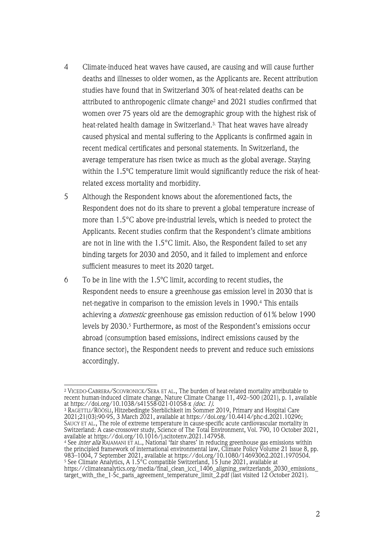- 4 Climate-induced heat waves have caused, are causing and will cause further deaths and illnesses to older women, as the Applicants are. Recent attribution studies have found that in Switzerland 30% of heat-related deaths can be attributed to anthropogenic climate change<sup>2</sup> and 2021 studies confirmed that women over 75 years old are the demographic group with the highest risk of heat-related health damage in Switzerland.3. That heat waves have already caused physical and mental suffering to the Applicants is confirmed again in recent medical certificates and personal statements. In Switzerland, the average temperature has risen twice as much as the global average. Staying within the 1.5ºC temperature limit would significantly reduce the risk of heatrelated excess mortality and morbidity.
- 5 Although the Respondent knows about the aforementioned facts, the Respondent does not do its share to prevent a global temperature increase of more than 1.5°C above pre-industrial levels, which is needed to protect the Applicants. Recent studies confirm that the Respondent's climate ambitions are not in line with the 1.5°C limit. Also, the Respondent failed to set any binding targets for 2030 and 2050, and it failed to implement and enforce sufficient measures to meet its 2020 target.
- 6 To be in line with the 1.5ºC limit, according to recent studies, the Respondent needs to ensure a greenhouse gas emission level in 2030 that is net-negative in comparison to the emission levels in 1990.4 This entails achieving a domestic greenhouse gas emission reduction of 61% below 1990 levels by 2030.<sup>5</sup> Furthermore, as most of the Respondent's emissions occur abroad (consumption based emissions, indirect emissions caused by the finance sector), the Respondent needs to prevent and reduce such emissions accordingly.

<sup>4</sup> See inter alia RAJAMANI ET AL., National 'fair shares' in reducing greenhouse gas emissions within the principled framework of international environmental law, Climate Policy Volume 21 Issue 8, pp. 983–1004, 7 September 2021, available at https://doi.org/10.1080/14693062.2021.1970504. <sup>5</sup> See Climate Analytics, A 1.5°C compatible Switzerland, 15 June 2021, available at https://climateanalytics.org/media/final\_clean\_icci\_1406\_aligning\_switzerlands\_2030\_emissions\_ target\_with\_the\_1-5c\_paris\_agreement\_temperature\_limit\_2.pdf (last visited 12 October 2021).

<sup>2</sup> VICEDO-CABRERA/SCOVRONICK/SERA ET AL., The burden of heat-related mortality attributable to recent human-induced climate change, Nature Climate Change 11, 492–500 (2021), p. 1, available at https://doi.org/10.1038/s41558-021-01058-x *(doc. 1)*.

<sup>3</sup> RAGETTLI/RÖÖSLI, Hitzebedingte Sterblichkeit im Sommer 2019, Primary and Hospital Care 2021;21(03):90-95, 3 March 2021, available at https://doi.org/10.4414/phc-d.2021.10296; SAUCY ET AL., The role of extreme temperature in cause-specific acute cardiovascular mortality in Switzerland: A case-crossover study, Science of The Total Environment, Vol. 790, 10 October 2021, available at https://doi.org/10.1016/j.scitotenv.2021.147958.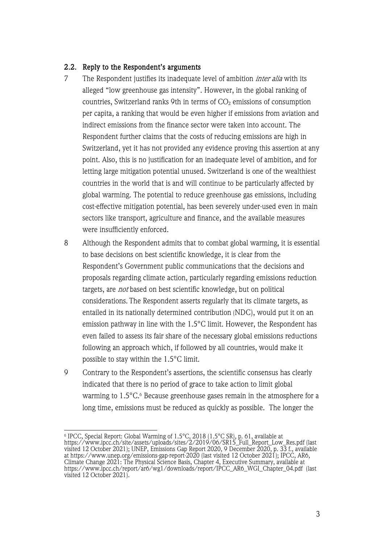#### 2.2. Reply to the Respondent's arguments

- 7 The Respondent justifies its inadequate level of ambition *inter alia* with its alleged "low greenhouse gas intensity". However, in the global ranking of countries, Switzerland ranks 9th in terms of  $CO<sub>2</sub>$  emissions of consumption per capita, a ranking that would be even higher if emissions from aviation and indirect emissions from the finance sector were taken into account. The Respondent further claims that the costs of reducing emissions are high in Switzerland, yet it has not provided any evidence proving this assertion at any point. Also, this is no justification for an inadequate level of ambition, and for letting large mitigation potential unused. Switzerland is one of the wealthiest countries in the world that is and will continue to be particularly affected by global warming. The potential to reduce greenhouse gas emissions, including cost-effective mitigation potential, has been severely under-used even in main sectors like transport, agriculture and finance, and the available measures were insufficiently enforced.
- 8 Although the Respondent admits that to combat global warming, it is essential to base decisions on best scientific knowledge, it is clear from the Respondent's Government public communications that the decisions and proposals regarding climate action, particularly regarding emissions reduction targets, are *not* based on best scientific knowledge, but on political considerations. The Respondent asserts regularly that its climate targets, as entailed in its nationally determined contribution (NDC), would put it on an emission pathway in line with the 1.5°C limit. However, the Respondent has even failed to assess its fair share of the necessary global emissions reductions following an approach which, if followed by all countries, would make it possible to stay within the 1.5°C limit.
- 9 Contrary to the Respondent's assertions, the scientific consensus has clearly indicated that there is no period of grace to take action to limit global warming to 1.5°C.<sup>6</sup> Because greenhouse gases remain in the atmosphere for a long time, emissions must be reduced as quickly as possible. The longer the

 $^{\rm 6}$  IPCC, Special Report: Global Warming of 1.5°C, 2018 (1.5°C SR), p. 61, available at https://www.ipcc.ch/site/assets/uploads/sites/2/2019/06/SR15\_Full\_Report\_Low\_Res.pdf (last visited 12 October 2021); UNEP, Emissions Gap Report 2020, 9 December 2020, p. 33 f., available at https://www.unep.org/emissions-gap-report-2020 (last visited 12 October 2021); IPCC, AR6, Climate Change 2021: The Physical Science Basis, Chapter 4, Executive Summary, available at https://www.ipcc.ch/report/ar6/wg1/downloads/report/IPCC\_AR6\_WGI\_Chapter\_04.pdf (last visited 12 October 2021).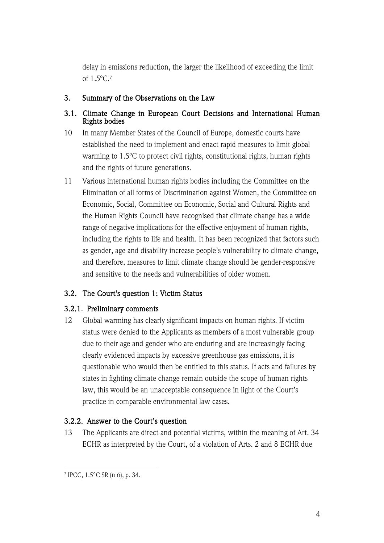delay in emissions reduction, the larger the likelihood of exceeding the limit of 1.5ºC.7

### 3. Summary of the Observations on the Law

#### 3.1. Climate Change in European Court Decisions and International Human Rights bodies

- 10 In many Member States of the Council of Europe, domestic courts have established the need to implement and enact rapid measures to limit global warming to 1.5ºC to protect civil rights, constitutional rights, human rights and the rights of future generations.
- 11 Various international human rights bodies including the Committee on the Elimination of all forms of Discrimination against Women, the Committee on Economic, Social, Committee on Economic, Social and Cultural Rights and the Human Rights Council have recognised that climate change has a wide range of negative implications for the effective enjoyment of human rights, including the rights to life and health. It has been recognized that factors such as gender, age and disability increase people's vulnerability to climate change, and therefore, measures to limit climate change should be gender-responsive and sensitive to the needs and vulnerabilities of older women.

# 3.2. The Court's question 1: Victim Status

## 3.2.1. Preliminary comments

12 Global warming has clearly significant impacts on human rights. If victim status were denied to the Applicants as members of a most vulnerable group due to their age and gender who are enduring and are increasingly facing clearly evidenced impacts by excessive greenhouse gas emissions, it is questionable who would then be entitled to this status. If acts and failures by states in fighting climate change remain outside the scope of human rights law, this would be an unacceptable consequence in light of the Court's practice in comparable environmental law cases.

## 3.2.2. Answer to the Court's question

13 The Applicants are direct and potential victims, within the meaning of Art. 34 ECHR as interpreted by the Court, of a violation of Arts. 2 and 8 ECHR due

<sup>7</sup> IPCC, 1.5°C SR (n 6), p. 34.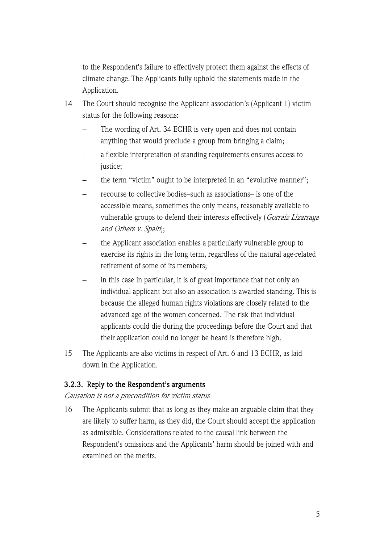to the Respondent's failure to effectively protect them against the effects of climate change. The Applicants fully uphold the statements made in the Application.

- 14 The Court should recognise the Applicant association's (Applicant 1) victim status for the following reasons:
	- The wording of Art. 34 ECHR is very open and does not contain anything that would preclude a group from bringing a claim;
	- a flexible interpretation of standing requirements ensures access to justice;
	- the term "victim" ought to be interpreted in an "evolutive manner";
	- recourse to collective bodies–such as associations– is one of the accessible means, sometimes the only means, reasonably available to vulnerable groups to defend their interests effectively (Gorraiz Lizarraga and Others v. Spain);
	- the Applicant association enables a particularly vulnerable group to exercise its rights in the long term, regardless of the natural age-related retirement of some of its members;
	- in this case in particular, it is of great importance that not only an individual applicant but also an association is awarded standing. This is because the alleged human rights violations are closely related to the advanced age of the women concerned. The risk that individual applicants could die during the proceedings before the Court and that their application could no longer be heard is therefore high.
- 15 The Applicants are also victims in respect of Art. 6 and 13 ECHR, as laid down in the Application.

## 3.2.3. Reply to the Respondent's arguments

Causation is not a precondition for victim status

16 The Applicants submit that as long as they make an arguable claim that they are likely to suffer harm, as they did, the Court should accept the application as admissible. Considerations related to the causal link between the Respondent's omissions and the Applicants' harm should be joined with and examined on the merits.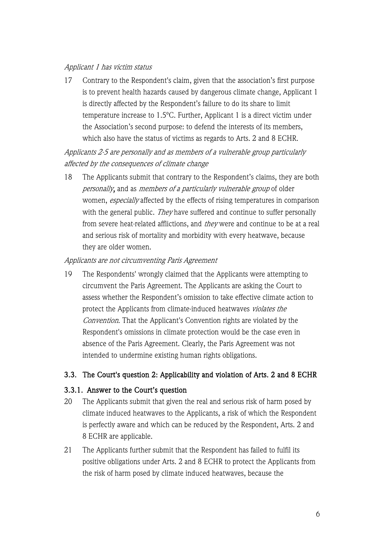#### Applicant 1 has victim status

17 Contrary to the Respondent's claim, given that the association's first purpose is to prevent health hazards caused by dangerous climate change, Applicant 1 is directly affected by the Respondent's failure to do its share to limit temperature increase to 1.5ºC. Further, Applicant 1 is a direct victim under the Association's second purpose: to defend the interests of its members, which also have the status of victims as regards to Arts. 2 and 8 ECHR.

Applicants 2-5 are personally and as members of a vulnerable group particularly affected by the consequences of climate change

18 The Applicants submit that contrary to the Respondent's claims, they are both personally, and as members of a particularly vulnerable group of older women, especially affected by the effects of rising temperatures in comparison with the general public. They have suffered and continue to suffer personally from severe heat-related afflictions, and they were and continue to be at a real and serious risk of mortality and morbidity with every heatwave, because they are older women.

### Applicants are not circumventing Paris Agreement

19 The Respondents' wrongly claimed that the Applicants were attempting to circumvent the Paris Agreement. The Applicants are asking the Court to assess whether the Respondent's omission to take effective climate action to protect the Applicants from climate-induced heatwaves violates the Convention. That the Applicant's Convention rights are violated by the Respondent's omissions in climate protection would be the case even in absence of the Paris Agreement. Clearly, the Paris Agreement was not intended to undermine existing human rights obligations.

## 3.3. The Court's question 2: Applicability and violation of Arts. 2 and 8 ECHR

## 3.3.1. Answer to the Court's question

- 20 The Applicants submit that given the real and serious risk of harm posed by climate induced heatwaves to the Applicants, a risk of which the Respondent is perfectly aware and which can be reduced by the Respondent, Arts. 2 and 8 ECHR are applicable.
- 21 The Applicants further submit that the Respondent has failed to fulfil its positive obligations under Arts. 2 and 8 ECHR to protect the Applicants from the risk of harm posed by climate induced heatwaves, because the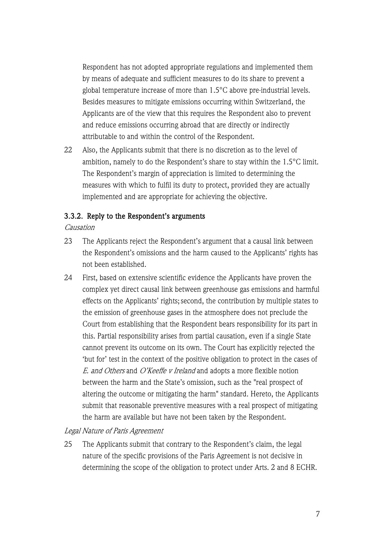Respondent has not adopted appropriate regulations and implemented them by means of adequate and sufficient measures to do its share to prevent a global temperature increase of more than 1.5°C above pre-industrial levels. Besides measures to mitigate emissions occurring within Switzerland, the Applicants are of the view that this requires the Respondent also to prevent and reduce emissions occurring abroad that are directly or indirectly attributable to and within the control of the Respondent.

22 Also, the Applicants submit that there is no discretion as to the level of ambition, namely to do the Respondent's share to stay within the 1.5°C limit. The Respondent's margin of appreciation is limited to determining the measures with which to fulfil its duty to protect, provided they are actually implemented and are appropriate for achieving the objective.

#### 3.3.2. Reply to the Respondent's arguments

#### Causation

- 23 The Applicants reject the Respondent's argument that a causal link between the Respondent's omissions and the harm caused to the Applicants' rights has not been established.
- 24 First, based on extensive scientific evidence the Applicants have proven the complex yet direct causal link between greenhouse gas emissions and harmful effects on the Applicants' rights; second, the contribution by multiple states to the emission of greenhouse gases in the atmosphere does not preclude the Court from establishing that the Respondent bears responsibility for its part in this. Partial responsibility arises from partial causation, even if a single State cannot prevent its outcome on its own. The Court has explicitly rejected the 'but for' test in the context of the positive obligation to protect in the cases of E. and Others and O'Keeffe v Ireland and adopts a more flexible notion between the harm and the State's omission, such as the "real prospect of altering the outcome or mitigating the harm" standard. Hereto, the Applicants submit that reasonable preventive measures with a real prospect of mitigating the harm are available but have not been taken by the Respondent.

#### Legal Nature of Paris Agreement

25 The Applicants submit that contrary to the Respondent's claim, the legal nature of the specific provisions of the Paris Agreement is not decisive in determining the scope of the obligation to protect under Arts. 2 and 8 ECHR.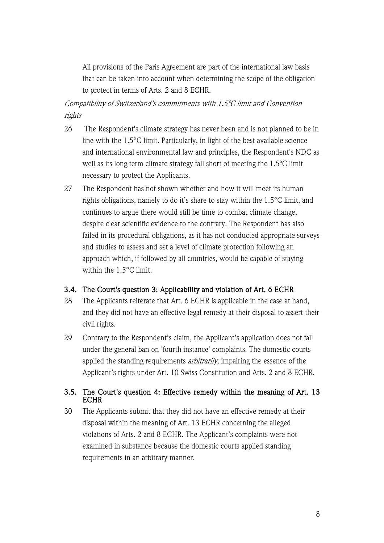All provisions of the Paris Agreement are part of the international law basis that can be taken into account when determining the scope of the obligation to protect in terms of Arts. 2 and 8 ECHR.

Compatibility of Switzerland's commitments with 1.5ºC limit and Convention rights

- 26 The Respondent's climate strategy has never been and is not planned to be in line with the 1.5°C limit. Particularly, in light of the best available science and international environmental law and principles, the Respondent's NDC as well as its long-term climate strategy fall short of meeting the 1.5ºC limit necessary to protect the Applicants.
- 27 The Respondent has not shown whether and how it will meet its human rights obligations, namely to do it's share to stay within the 1.5°C limit, and continues to argue there would still be time to combat climate change, despite clear scientific evidence to the contrary. The Respondent has also failed in its procedural obligations, as it has not conducted appropriate surveys and studies to assess and set a level of climate protection following an approach which, if followed by all countries, would be capable of staying within the 1.5°C limit.

#### 3.4. The Court's question 3: Applicability and violation of Art. 6 ECHR

- 28 The Applicants reiterate that Art. 6 ECHR is applicable in the case at hand, and they did not have an effective legal remedy at their disposal to assert their civil rights.
- 29 Contrary to the Respondent's claim, the Applicant's application does not fall under the general ban on 'fourth instance' complaints. The domestic courts applied the standing requirements *arbitrarily*, impairing the essence of the Applicant's rights under Art. 10 Swiss Constitution and Arts. 2 and 8 ECHR.

### 3.5. The Court's question 4: Effective remedy within the meaning of Art. 13 **ECHR**

30 The Applicants submit that they did not have an effective remedy at their disposal within the meaning of Art. 13 ECHR concerning the alleged violations of Arts. 2 and 8 ECHR. The Applicant's complaints were not examined in substance because the domestic courts applied standing requirements in an arbitrary manner.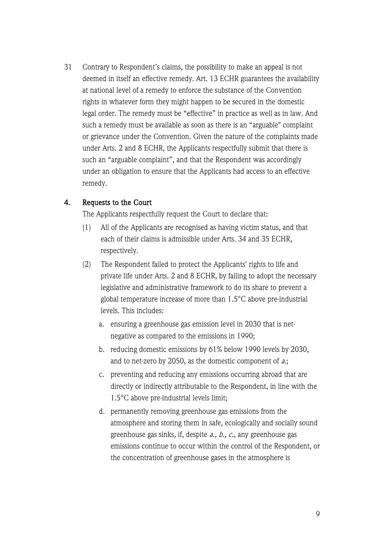31 Contrary to Respondent's claims, the possibility to make an appeal is not deemed in itself an effective remedy. Art. 13 ECHR guarantees the availability at national level of a remedy to enforce the substance of the Convention rights in whatever form they might happen to be secured in the domestic legal order. The remedy must be "effective" in practice as well as in law. And such a remedy must be available as soon as there is an "arguable" complaint or grievance under the Convention. Given the nature of the complaints made under Arts. 2 and 8 ECHR, the Applicants respectfully submit that there is such an "arguable complaint", and that the Respondent was accordingly under an obligation to ensure that the Applicants had access to an effective remedy.

### 4. Requests to the Court

The Applicants respectfully request the Court to declare that:

- (1) All of the Applicants are recognised as having victim status, and that each of their claims is admissible under Arts. 34 and 35 ECHR, respectively.
- (2) The Respondent failed to protect the Applicants' rights to life and private life under Arts. 2 and 8 ECHR, by failing to adopt the necessary legislative and administrative framework to do its share to prevent a global temperature increase of more than 1.5°C above pre-industrial levels. This includes:
	- a. ensuring a greenhouse gas emission level in 2030 that is netnegative as compared to the emissions in 1990;
	- b. reducing domestic emissions by 61% below 1990 levels by 2030, and to net-zero by 2050, as the domestic component of  $a$ .;
	- c. preventing and reducing any emissions occurring abroad that are directly or indirectly attributable to the Respondent, in line with the 1.5°C above pre-industrial levels limit;
	- d. permanently removing greenhouse gas emissions from the atmosphere and storing them in safe, ecologically and socially sound greenhouse gas sinks, if, despite  $a_i$ ,  $b_i$ ,  $c_i$ , any greenhouse gas emissions continue to occur within the control of the Respondent, or the concentration of greenhouse gases in the atmosphere is